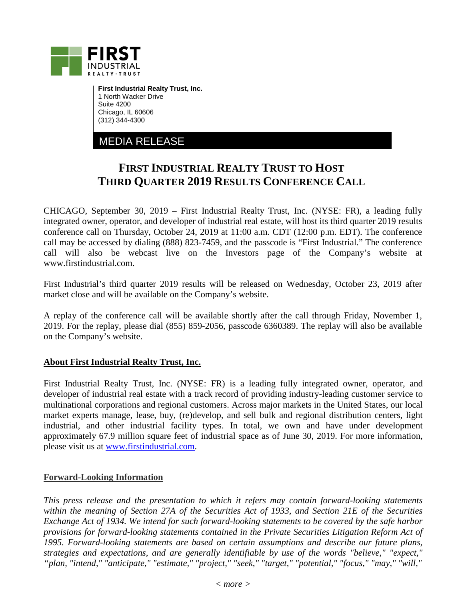

**First Industrial Realty Trust, Inc.** 1 North Wacker Drive Suite 4200 Chicago, IL 60606 (312) 344-4300

MEDIA RELEASE

## **FIRST INDUSTRIAL REALTY TRUST TO HOST THIRD QUARTER 2019 RESULTS CONFERENCE CALL**

CHICAGO, September 30, 2019 – First Industrial Realty Trust, Inc. (NYSE: FR), a leading fully integrated owner, operator, and developer of industrial real estate, will host its third quarter 2019 results conference call on Thursday, October 24, 2019 at 11:00 a.m. CDT (12:00 p.m. EDT). The conference call may be accessed by dialing (888) 823-7459, and the passcode is "First Industrial." The conference call will also be webcast live on the Investors page of the Company's website at www.firstindustrial.com.

First Industrial's third quarter 2019 results will be released on Wednesday, October 23, 2019 after market close and will be available on the Company's website.

A replay of the conference call will be available shortly after the call through Friday, November 1, 2019. For the replay, please dial (855) 859-2056, passcode 6360389. The replay will also be available on the Company's website.

## **About First Industrial Realty Trust, Inc.**

First Industrial Realty Trust, Inc. (NYSE: FR) is a leading fully integrated owner, operator, and developer of industrial real estate with a track record of providing industry-leading customer service to multinational corporations and regional customers. Across major markets in the United States, our local market experts manage, lease, buy, (re)develop, and sell bulk and regional distribution centers, light industrial, and other industrial facility types. In total, we own and have under development approximately 67.9 million square feet of industrial space as of June 30, 2019. For more information, please visit us at [www.firstindustrial.com.](http://www.firstindustrial.com/)

## **Forward-Looking Information**

*This press release and the presentation to which it refers may contain forward-looking statements within the meaning of Section 27A of the Securities Act of 1933, and Section 21E of the Securities Exchange Act of 1934. We intend for such forward-looking statements to be covered by the safe harbor provisions for forward-looking statements contained in the Private Securities Litigation Reform Act of 1995. Forward-looking statements are based on certain assumptions and describe our future plans, strategies and expectations, and are generally identifiable by use of the words "believe," "expect," "plan, "intend," "anticipate," "estimate," "project," "seek," "target," "potential," "focus," "may," "will,"*